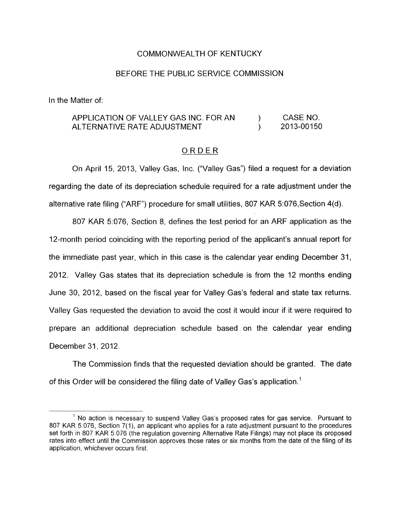## COMMONWEALTH OF KENTUCKY

### BEFORE THE PUBLIC SERVICE COMMISSION

In the Matter of:

#### APPLICATION OF VALLEY GAS INC. FOR AN ALTERNATIVE RATE ADJUSTMENT ) CASE NO. ) 2013-00150

## ~ ORDER

On April 15, 2013, Valley Gas, Inc. ("Valley Gas") filed a request for a deviation regarding the date of its depreciation schedule required for a rate adjustment under the alternative rate filing ("ARF") procedure for small utilities, 807 KAR 5:076,Section 4(d).

807 KAR 5:076, Section 8, defines the test period for an ARF application as the 12-month period coinciding with the reporting period of the applicant's annual report for the immediate past year, which in this case is the calendar year ending December 31, 2012. Valley Gas states that its depreciation schedule is from the 12 months ending June 30, 2012, based on the fiscal year for Valley Gas's federal and state tax returns. Valley Gas requested the deviation to avoid the cost it would incur if it were required to prepare an additional depreciation schedule based on the calendar year ending December 31, 2012.

The Commission finds that the requested deviation should be granted. The date of this Order will be considered the filing date of Valley Gas's application.'

 $1$  No action is necessary to suspend Valley Gas's proposed rates for gas service. Pursuant to 807 KAR 5.076, Section 7(1), an applicant who applies for a rate adjustment pursuant to the procedures set forth in 807 KAR 5.076 (the regulation governing Alternative Rate Filings) may not place its proposed rates into effect until the Commission approves those rates or six months from the date of the filing of its application, whichever occurs first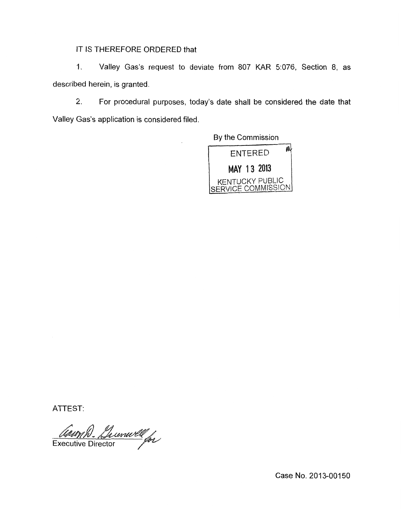# IT IS THEREFORE ORDERED that

1. Valley Gas's request to deviate from 807 KAR 5:076, Section 8, as described herein, is granted.

2. For procedural purposes, today's date shall be considered the date that Valley Gas's application is considered filed.

By the Commission



ATTEST:

Comm D. Lunwell<br>Executive Director

Case No. 2013-00150